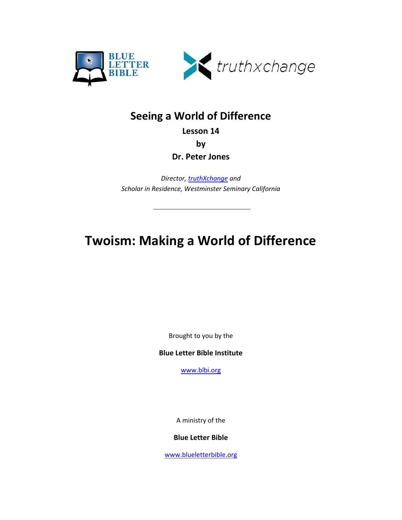



## **Seeing a World of Difference**

**Lesson 14**

**by** 

**Dr. Peter Jones**

*Director[, truthXchange](http://truthxchange.com/) and Scholar in Residence, Westminster Seminary California*

# **Twoism: Making a World of Difference**

Brought to you by the

**Blue Letter Bible Institute**

[www.blbi.org](http://www.blbi.org/)

A ministry of the

#### **Blue Letter Bible**

[www.blueletterbible.org](http://www.blueletterbible.org/)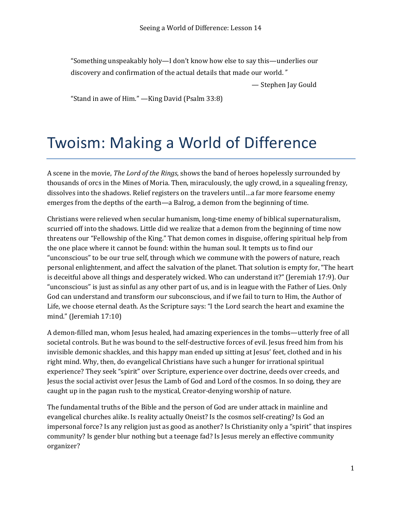"Something unspeakably holy—I don't know how else to say this—underlies our discovery and confirmation of the actual details that made our world."

— Stephen Jay Gould

"Stand in awe of Him." — King David (Psalm 33:8)

# Twoism: Making a World of Difference

A scene in the movie, *The Lord of the Rings*, shows the band of heroes hopelessly surrounded by thousands of orcs in the Mines of Moria. Then, miraculously, the ugly crowd, in a squealing frenzy, dissolves into the shadows. Relief registers on the travelers until...a far more fearsome enemy emerges from the depths of the earth—a Balrog, a demon from the beginning of time.

Christians were relieved when secular humanism, long-time enemy of biblical supernaturalism, scurried off into the shadows. Little did we realize that a demon from the beginning of time now threatens our "Fellowship of the King." That demon comes in disguise, offering spiritual help from the one place where it cannot be found: within the human soul. It tempts us to find our "unconscious" to be our true self, through which we commune with the powers of nature, reach personal enlightenment, and affect the salvation of the planet. That solution is empty for, "The heart is deceitful above all things and desperately wicked. Who can understand it?" (Jeremiah 17:9). Our "unconscious" is just as sinful as any other part of us, and is in league with the Father of Lies. Only God can understand and transform our subconscious, and if we fail to turn to Him, the Author of Life, we choose eternal death. As the Scripture says: "I the Lord search the heart and examine the mind." (Jeremiah 17:10)

A demon-filled man, whom Jesus healed, had amazing experiences in the tombs—utterly free of all societal controls. But he was bound to the self-destructive forces of evil. Jesus freed him from his invisible demonic shackles, and this happy man ended up sitting at Jesus' feet, clothed and in his right mind. Why, then, do evangelical Christians have such a hunger for irrational spiritual experience? They seek "spirit" over Scripture, experience over doctrine, deeds over creeds, and Jesus the social activist over Jesus the Lamb of God and Lord of the cosmos. In so doing, they are caught up in the pagan rush to the mystical, Creator-denying worship of nature.

The fundamental truths of the Bible and the person of God are under attack in mainline and evangelical churches alike. Is reality actually Oneist? Is the cosmos self-creating? Is God an impersonal force? Is any religion just as good as another? Is Christianity only a "spirit" that inspires community? Is gender blur nothing but a teenage fad? Is Jesus merely an effective community organizer?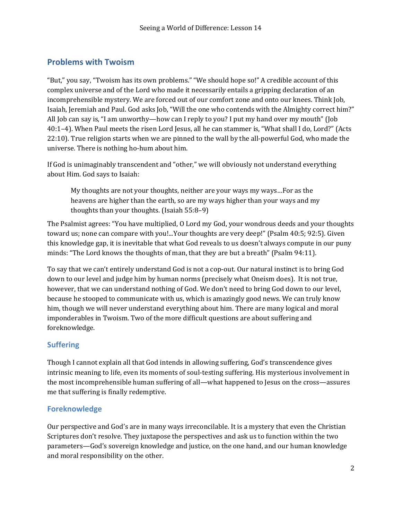### **Problems with Twoism**

"But," you say, "Twoism has its own problems." "We should hope so!" A credible account of this complex universe and of the Lord who made it necessarily entails a gripping declaration of an incomprehensible mystery. We are forced out of our comfort zone and onto our knees. Think Job, Isaiah, Jeremiah and Paul. God asks Job, "Will the one who contends with the Almighty correct him?" All Job can say is, "I am unworthy—how can I reply to you? I put my hand over my mouth" (Job [40:1–4\)](http://www.blueletterbible.org/Bible.cfm?b=Job&c=40&v=1#1). When Paul meets the risen Lord Jesus, all he can stammer is, "What shall I do, Lord?" [\(Acts](http://www.blueletterbible.org/Bible.cfm?b=Act&c=22&v=10#10) [22:10](http://www.blueletterbible.org/Bible.cfm?b=Act&c=22&v=10#10)). True religion starts when we are pinned to the wall by the all-powerful God, who made the universe. There is nothing ho-hum about him.

If God is unimaginably transcendent and "other," we will obviously not understand everything about Him. God says to Isaiah:

My thoughts are not your thoughts, neither are your ways my ways...For as the heavens are higher than the earth, so are my ways higher than your ways and my thoughts than your thoughts. (Isaiah  $55:8-9$ )

The Psalmist agrees: "You have multiplied, O Lord my God, your wondrous deeds and your thoughts toward us; none can compare with you!...Your thoughts are very deep!" (Psalm 40:5; [92:5\)](http://www.blueletterbible.org/Bible.cfm?b=Psa&c=92&v=5#5). Given this knowledge gap, it is inevitable that what God reveals to us doesn't always compute in our puny minds: "The Lord knows the thoughts of man, that they are but a breath" (Psalm 94:11).

To say that we can't entirely understand God is not a cop-out. Our natural instinct is to bring God down to our level and judge him by human norms (precisely what Oneism does). It is not true, however, that we can understand nothing of God. We don't need to bring God down to our level, because he stooped to communicate with us, which is amazingly good news. We can truly know him, though we will never understand everything about him. There are many logical and moral imponderables in Twoism. Two of the more difficult questions are about suffering and foreknowledge. 

#### **Suffering**

Though I cannot explain all that God intends in allowing suffering, God's transcendence gives intrinsic meaning to life, even its moments of soul-testing suffering. His mysterious involvement in the most incomprehensible human suffering of all—what happened to Jesus on the cross—assures me that suffering is finally redemptive.

#### **Foreknowledge**

Our perspective and God's are in many ways irreconcilable. It is a mystery that even the Christian Scriptures don't resolve. They juxtapose the perspectives and ask us to function within the two parameters—God's sovereign knowledge and justice, on the one hand, and our human knowledge and moral responsibility on the other.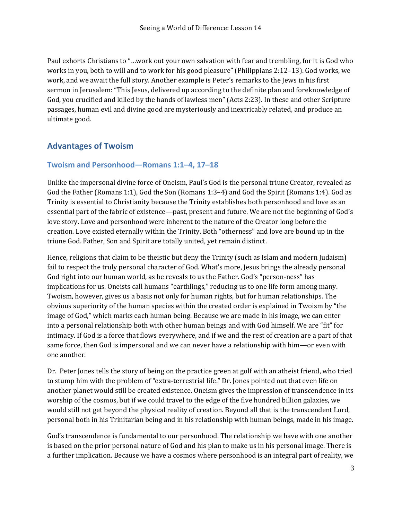Paul exhorts Christians to "...work out your own salvation with fear and trembling, for it is God who works in you, both to will and to work for his good pleasure" (Philippians  $2:12-13$ ). God works, we work, and we await the full story. Another example is Peter's remarks to the Jews in his first sermon in Jerusalem: "This Jesus, delivered up according to the definite plan and foreknowledge of God, you crucified and killed by the hands of lawless men" (Acts 2:23). In these and other Scripture passages, human evil and divine good are mysteriously and inextricably related, and produce an ultimate good.

### **Advantages of Twoism**

#### **Twoism and Personhood[—Romans 1:1–4,](http://www.blueletterbible.org/Bible.cfm?b=Rom&c=1&v=1#1) [17–18](http://www.blueletterbible.org/Bible.cfm?b=Rom&c=1&v=17#17)**

Unlike the impersonal divine force of Oneism, Paul's God is the personal triune Creator, revealed as God the Father (Romans 1:1), God the Son (Romans 1:3–4) and God the Spirit (Romans 1:4). God as Trinity is essential to Christianity because the Trinity establishes both personhood and love as an essential part of the fabric of existence—past, present and future. We are not the beginning of God's love story. Love and personhood were inherent to the nature of the Creator long before the creation. Love existed eternally within the Trinity. Both "otherness" and love are bound up in the triune God. Father, Son and Spirit are totally united, yet remain distinct.

Hence, religions that claim to be theistic but deny the Trinity (such as Islam and modern Judaism) fail to respect the truly personal character of God. What's more, Jesus brings the already personal God right into our human world, as he reveals to us the Father. God's "person-ness" has implications for us. Oneists call humans "earthlings," reducing us to one life form among many. Twoism, however, gives us a basis not only for human rights, but for human relationships. The obvious superiority of the human species within the created order is explained in Twoism by "the image of God," which marks each human being. Because we are made in his image, we can enter into a personal relationship both with other human beings and with God himself. We are "fit" for intimacy. If God is a force that flows everywhere, and if we and the rest of creation are a part of that same force, then God is impersonal and we can never have a relationship with him—or even with one another.

Dr. Peter Jones tells the story of being on the practice green at golf with an atheist friend, who tried to stump him with the problem of "extra-terrestrial life." Dr. Jones pointed out that even life on another planet would still be created existence. Oneism gives the impression of transcendence in its worship of the cosmos, but if we could travel to the edge of the five hundred billion galaxies, we would still not get beyond the physical reality of creation. Beyond all that is the transcendent Lord, personal both in his Trinitarian being and in his relationship with human beings, made in his image.

God's transcendence is fundamental to our personhood. The relationship we have with one another is based on the prior personal nature of God and his plan to make us in his personal image. There is a further implication. Because we have a cosmos where personhood is an integral part of reality, we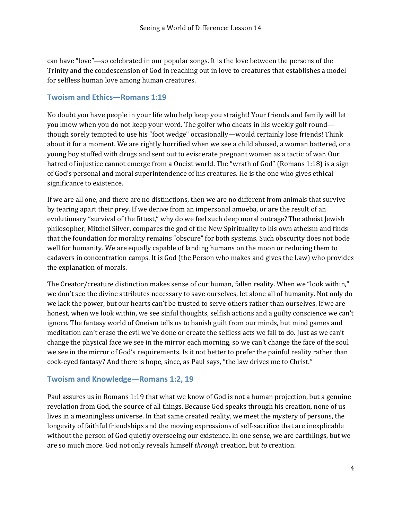can have "love"—so celebrated in our popular songs. It is the love between the persons of the Trinity and the condescension of God in reaching out in love to creatures that establishes a model for selfless human love among human creatures.

#### **Twoism and Ethics—[Romans 1:19](http://www.blueletterbible.org/Bible.cfm?b=Rom&c=1&v=19#19)**

No doubt you have people in your life who help keep you straight! Your friends and family will let you know when you do not keep your word. The golfer who cheats in his weekly golf round though sorely tempted to use his "foot wedge" occasionally—would certainly lose friends! Think about it for a moment. We are rightly horrified when we see a child abused, a woman battered, or a young boy stuffed with drugs and sent out to eviscerate pregnant women as a tactic of war. Our hatred of injustice cannot emerge from a Oneist world. The "wrath of God" (Romans  $1:18$ ) is a sign of God's personal and moral superintendence of his creatures. He is the one who gives ethical significance to existence.

If we are all one, and there are no distinctions, then we are no different from animals that survive by tearing apart their prey. If we derive from an impersonal amoeba, or are the result of an evolutionary "survival of the fittest," why do we feel such deep moral outrage? The atheist Jewish philosopher, Mitchel Silver, compares the god of the New Spirituality to his own atheism and finds that the foundation for morality remains "obscure" for both systems. Such obscurity does not bode well for humanity. We are equally capable of landing humans on the moon or reducing them to cadavers in concentration camps. It is God (the Person who makes and gives the Law) who provides the explanation of morals.

The Creator/creature distinction makes sense of our human, fallen reality. When we "look within," we don't see the divine attributes necessary to save ourselves, let alone all of humanity. Not only do we lack the power, but our hearts can't be trusted to serve others rather than ourselves. If we are honest, when we look within, we see sinful thoughts, selfish actions and a guilty conscience we can't ignore. The fantasy world of Oneism tells us to banish guilt from our minds, but mind games and meditation can't erase the evil we've done or create the selfless acts we fail to do. Just as we can't change the physical face we see in the mirror each morning, so we can't change the face of the soul we see in the mirror of God's requirements. Is it not better to prefer the painful reality rather than cock-eyed fantasy? And there is hope, since, as Paul says, "the law drives me to Christ."

#### **Twoism and Knowledge[—Romans 1:2](http://www.blueletterbible.org/Bible.cfm?b=Rom&c=1&v=2#2), [19](http://www.blueletterbible.org/Bible.cfm?b=Rom&c=1&v=19#19)**

Paul assures us in Romans 1:19 that what we know of God is not a human projection, but a genuine revelation from God, the source of all things. Because God speaks through his creation, none of us lives in a meaningless universe. In that same created reality, we meet the mystery of persons, the longevity of faithful friendships and the moving expressions of self-sacrifice that are inexplicable without the person of God quietly overseeing our existence. In one sense, we are earthlings, but we are so much more. God not only reveals himself *through* creation, but *to* creation.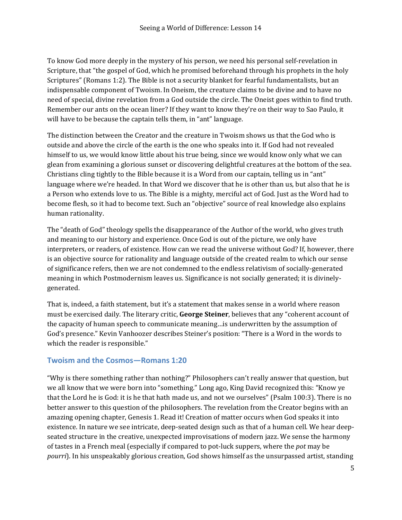To know God more deeply in the mystery of his person, we need his personal self-revelation in Scripture, that "the gospel of God, which he promised beforehand through his prophets in the holy Scriptures" (Romans 1:2). The Bible is not a security blanket for fearful fundamentalists, but an indispensable component of Twoism. In Oneism, the creature claims to be divine and to have no need of special, divine revelation from a God outside the circle. The Oneist goes within to find truth. Remember our ants on the ocean liner? If they want to know they're on their way to Sao Paulo, it will have to be because the captain tells them, in "ant" language.

The distinction between the Creator and the creature in Twoism shows us that the God who is outside and above the circle of the earth is the one who speaks into it. If God had not revealed himself to us, we would know little about his true being, since we would know only what we can glean from examining a glorious sunset or discovering delightful creatures at the bottom of the sea. Christians cling tightly to the Bible because it is a Word from our captain, telling us in "ant" language where we're headed. In that Word we discover that he is other than us, but also that he is a Person who extends love to us. The Bible is a mighty, merciful act of God. Just as the Word had to become flesh, so it had to become text. Such an "objective" source of real knowledge also explains human rationality.

The "death of God" theology spells the disappearance of the Author of the world, who gives truth and meaning to our history and experience. Once God is out of the picture, we only have interpreters, or readers, of existence. How can we read the universe without God? If, however, there is an objective source for rationality and language outside of the created realm to which our sense of significance refers, then we are not condemned to the endless relativism of socially-generated meaning in which Postmodernism leaves us. Significance is not socially generated; it is divinelygenerated. 

That is, indeed, a faith statement, but it's a statement that makes sense in a world where reason must be exercised daily. The literary critic, George Steiner, believes that any "coherent account of the capacity of human speech to communicate meaning... is underwritten by the assumption of God's presence." Kevin Vanhoozer describes Steiner's position: "There is a Word in the words to which the reader is responsible."

#### **Twoism and the Cosmos—[Romans 1:20](http://www.blueletterbible.org/Bible.cfm?b=Rom&c=1&v=20#20)**

"Why is there something rather than nothing?" Philosophers can't really answer that question, but we all know that we were born into "something." Long ago, King David recognized this: "Know ye that the Lord he is God: it is he that hath made us, and not we ourselves" (Psalm 100:3). There is no better answer to this question of the philosophers. The revelation from the Creator begins with an amazing opening chapter, Genesis 1. Read it! Creation of matter occurs when God speaks it into existence. In nature we see intricate, deep-seated design such as that of a human cell. We hear deepseated structure in the creative, unexpected improvisations of modern jazz. We sense the harmony of tastes in a French meal (especially if compared to pot-luck suppers, where the *pot* may be *pourri*). In his unspeakably glorious creation, God shows himself as the unsurpassed artist, standing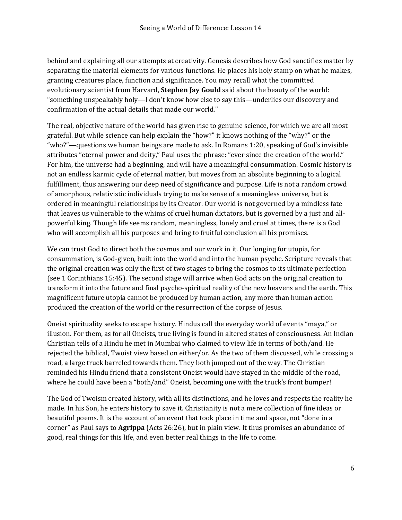behind and explaining all our attempts at creativity. Genesis describes how God sanctifies matter by separating the material elements for various functions. He places his holy stamp on what he makes, granting creatures place, function and significance. You may recall what the committed evolutionary scientist from Harvard, **Stephen Jay Gould** said about the beauty of the world: "something unspeakably holy—I don't know how else to say this—underlies our discovery and confirmation of the actual details that made our world."

The real, objective nature of the world has given rise to genuine science, for which we are all most grateful. But while science can help explain the "how?" it knows nothing of the "why?" or the "who?"—questions we human beings are made to ask. In Romans 1:20, speaking of God's invisible attributes "eternal power and deity," Paul uses the phrase: "ever since the creation of the world." For him, the universe had a beginning, and will have a meaningful consummation. Cosmic history is not an endless karmic cycle of eternal matter, but moves from an absolute beginning to a logical fulfillment, thus answering our deep need of significance and purpose. Life is not a random crowd of amorphous, relativistic individuals trying to make sense of a meaningless universe, but is ordered in meaningful relationships by its Creator. Our world is not governed by a mindless fate that leaves us vulnerable to the whims of cruel human dictators, but is governed by a just and allpowerful king. Though life seems random, meaningless, lonely and cruel at times, there is a God who will accomplish all his purposes and bring to fruitful conclusion all his promises.

We can trust God to direct both the cosmos and our work in it. Our longing for utopia, for consummation, is God-given, built into the world and into the human psyche. Scripture reveals that the original creation was only the first of two stages to bring the cosmos to its ultimate perfection (see 1 Corinthians 15:45). The second stage will arrive when God acts on the original creation to transform it into the future and final psycho-spiritual reality of the new heavens and the earth. This magnificent future utopia cannot be produced by human action, any more than human action produced the creation of the world or the resurrection of the corpse of Jesus.

Oneist spirituality seeks to escape history. Hindus call the everyday world of events "maya," or illusion. For them, as for all Oneists, true living is found in altered states of consciousness. An Indian Christian tells of a Hindu he met in Mumbai who claimed to view life in terms of both/and. He rejected the biblical, Twoist view based on either/or. As the two of them discussed, while crossing a road, a large truck barreled towards them. They both jumped out of the way. The Christian reminded his Hindu friend that a consistent Oneist would have stayed in the middle of the road, where he could have been a "both/and" Oneist, becoming one with the truck's front bumper!

The God of Twoism created history, with all its distinctions, and he loves and respects the reality he made. In his Son, he enters history to save it. Christianity is not a mere collection of fine ideas or beautiful poems. It is the account of an event that took place in time and space, not "done in a corner" as Paul says to **Agrippa** (Acts 26:26), but in plain view. It thus promises an abundance of good, real things for this life, and even better real things in the life to come.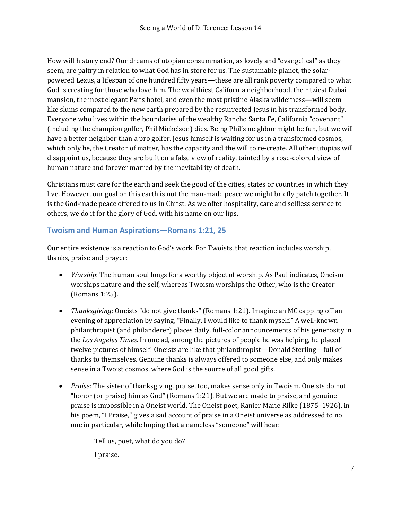How will history end? Our dreams of utopian consummation, as lovely and "evangelical" as they seem, are paltry in relation to what God has in store for us. The sustainable planet, the solarpowered Lexus, a lifespan of one hundred fifty years—these are all rank poverty compared to what God is creating for those who love him. The wealthiest California neighborhood, the ritziest Dubai mansion, the most elegant Paris hotel, and even the most pristine Alaska wilderness—will seem like slums compared to the new earth prepared by the resurrected Jesus in his transformed body. Everyone who lives within the boundaries of the wealthy Rancho Santa Fe, California "covenant" (including the champion golfer, Phil Mickelson) dies. Being Phil's neighbor might be fun, but we will have a better neighbor than a pro golfer. Jesus himself is waiting for us in a transformed cosmos, which only he, the Creator of matter, has the capacity and the will to re-create. All other utopias will disappoint us, because they are built on a false view of reality, tainted by a rose-colored view of human nature and forever marred by the inevitability of death.

Christians must care for the earth and seek the good of the cities, states or countries in which they live. However, our goal on this earth is not the man-made peace we might briefly patch together. It is the God-made peace offered to us in Christ. As we offer hospitality, care and selfless service to others, we do it for the glory of God, with his name on our lips.

#### **Twoism and Human Aspirations[—Romans 1:21](http://www.blueletterbible.org/Bible.cfm?b=Rom&c=1&v=21#21), [25](http://www.blueletterbible.org/Bible.cfm?b=Rom&c=1&v=25#25)**

Our entire existence is a reaction to God's work. For Twoists, that reaction includes worship, thanks, praise and prayer:

- *Worship*: The human soul longs for a worthy object of worship. As Paul indicates, Oneism worships nature and the self, whereas Twoism worships the Other, who is the Creator [\(Romans 1:25\)](http://www.blueletterbible.org/Bible.cfm?b=Rom&c=1&v=25#25).
- *Thanksgiving*: Oneists "do not give thanks" (Romans 1:21). Imagine an MC capping off an evening of appreciation by saying, "Finally, I would like to thank myself." A well-known philanthropist (and philanderer) places daily, full-color announcements of his generosity in the Los *Angeles Times*. In one ad, among the pictures of people he was helping, he placed twelve pictures of himself! Oneists are like that philanthropist—Donald Sterling—full of thanks to themselves. Genuine thanks is always offered to someone else, and only makes sense in a Twoist cosmos, where God is the source of all good gifts.
- *Praise*: The sister of thanksgiving, praise, too, makes sense only in Twoism. Oneists do not "honor (or praise) him as  $God$ " (Romans 1:21). But we are made to praise, and genuine praise is impossible in a Oneist world. The Oneist poet, Ranier Marie Rilke (1875–1926), in his poem, "I Praise," gives a sad account of praise in a Oneist universe as addressed to no one in particular, while hoping that a nameless "someone" will hear:

Tell us, poet, what do you do? I praise.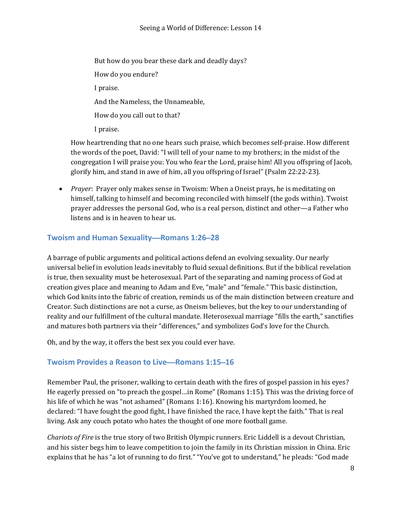But how do you bear these dark and deadly days? How do you endure? I praise. And the Nameless, the Unnameable, How do you call out to that? I praise. 

How heartrending that no one hears such praise, which becomes self-praise. How different the words of the poet, David: "I will tell of your name to my brothers; in the midst of the congregation I will praise you: You who fear the Lord, praise him! All you offspring of Jacob, glorify him, and stand in awe of him, all you offspring of Israel" (Psalm 22:22-23).

• *Prayer*: Prayer only makes sense in Twoism: When a Oneist prays, he is meditating on himself, talking to himself and becoming reconciled with himself (the gods within). Twoist prayer addresses the personal God, who is a real person, distinct and other—a Father who listens and is in heaven to hear us.

#### **Twoism and Human Sexuality**—**[Romans 1:26](http://www.blueletterbible.org/Bible.cfm?b=Rom&c=1&v=26#26)**–**28**

A barrage of public arguments and political actions defend an evolving sexuality. Our nearly universal belief in evolution leads inevitably to fluid sexual definitions. But if the biblical revelation is true, then sexuality must be heterosexual. Part of the separating and naming process of God at creation gives place and meaning to Adam and Eve, "male" and "female." This basic distinction, which God knits into the fabric of creation, reminds us of the main distinction between creature and Creator. Such distinctions are not a curse, as Oneism believes, but the key to our understanding of reality and our fulfillment of the cultural mandate. Heterosexual marriage "fills the earth," sanctifies and matures both partners via their "differences," and symbolizes God's love for the Church.

Oh, and by the way, it offers the best sex you could ever have.

#### **Twoism Provides a Reason to Live**—**[Romans 1:15](http://www.blueletterbible.org/Bible.cfm?b=Rom&c=1&v=15#15)**–**16**

Remember Paul, the prisoner, walking to certain death with the fires of gospel passion in his eyes? He eagerly pressed on "to preach the gospel...in Rome" (Romans 1:15). This was the driving force of his life of which he was "not ashamed" (Romans  $1:16$ ). Knowing his martyrdom loomed, he declared: "I have fought the good fight, I have finished the race, I have kept the faith." That is real living. Ask any couch potato who hates the thought of one more football game.

*Chariots of Fire* is the true story of two British Olympic runners. Eric Liddell is a devout Christian, and his sister begs him to leave competition to join the family in its Christian mission in China. Eric explains that he has "a lot of running to do first." "You've got to understand," he pleads: "God made